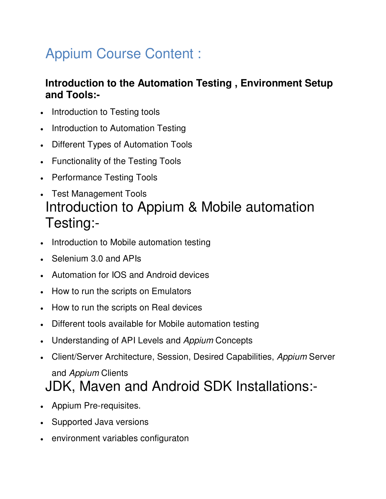## Appium Course Content :

## **Introduction to the Automation Testing , Environment Setup and Tools:-**

- Introduction to Testing tools
- Introduction to Automation Testing
- Different Types of Automation Tools
- Functionality of the Testing Tools
- Performance Testing Tools
- Test Management Tools Introduction to Appium & Mobile automation Testing:-
- Introduction to Mobile automation testing
- Selenium 3.0 and APIs
- Automation for IOS and Android devices
- How to run the scripts on Emulators
- How to run the scripts on Real devices
- Different tools available for Mobile automation testing
- Understanding of API Levels and *Appium* Concepts
- Client/Server Architecture, Session, Desired Capabilities, *Appium* Server and *Appium* Clients

## JDK, Maven and Android SDK Installations:-

- Appium Pre-requisites.
- Supported Java versions
- environment variables configuraton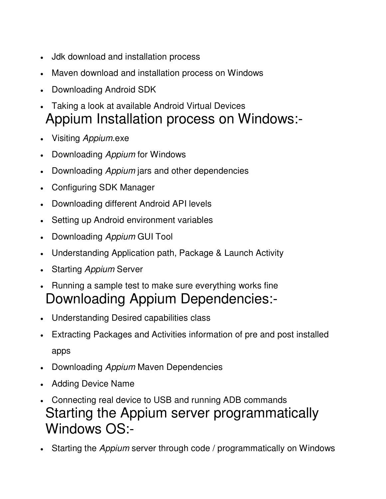- Jdk download and installation process
- Maven download and installation process on Windows
- Downloading Android SDK
- Taking a look at available Android Virtual Devices Appium Installation process on Windows:-
- Visiting *Appium*.exe
- Downloading *Appium* for Windows
- Downloading *Appium* jars and other dependencies
- Configuring SDK Manager
- Downloading different Android API levels
- Setting up Android environment variables
- Downloading *Appium* GUI Tool
- Understanding Application path, Package & Launch Activity
- Starting *Appium* Server
- Running a sample test to make sure everything works fine Downloading Appium Dependencies:-
- Understanding Desired capabilities class
- Extracting Packages and Activities information of pre and post installed apps
- Downloading *Appium* Maven Dependencies
- Adding Device Name
- Connecting real device to USB and running ADB commands Starting the Appium server programmatically Windows OS:-
- Starting the *Appium* server through code / programmatically on Windows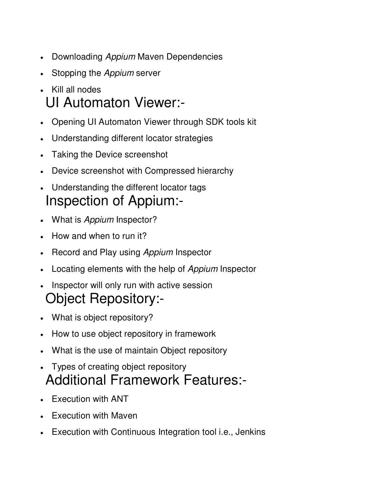- Downloading *Appium* Maven Dependencies
- Stopping the *Appium* server
- Kill all nodes UI Automaton Viewer:-
- Opening UI Automaton Viewer through SDK tools kit
- Understanding different locator strategies
- Taking the Device screenshot
- Device screenshot with Compressed hierarchy
- Understanding the different locator tags Inspection of Appium:-
- What is *Appium* Inspector?
- How and when to run it?
- Record and Play using *Appium* Inspector
- Locating elements with the help of *Appium* Inspector
- Inspector will only run with active session Object Repository:-
- What is object repository?
- How to use object repository in framework
- What is the use of maintain Object repository
- Types of creating object repository Additional Framework Features:-
- Execution with ANT
- Execution with Maven
- Execution with Continuous Integration tool i.e., Jenkins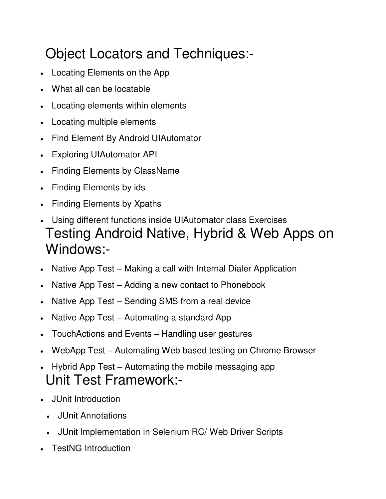## Object Locators and Techniques:-

- Locating Elements on the App
- What all can be locatable
- Locating elements within elements
- Locating multiple elements
- Find Element By Android UIAutomator
- Exploring UIAutomator API
- Finding Elements by ClassName
- Finding Elements by ids
- Finding Elements by Xpaths
- Using different functions inside UIAutomator class Exercises Testing Android Native, Hybrid & Web Apps on Windows:-
- Native App Test Making a call with Internal Dialer Application
- Native App Test Adding a new contact to Phonebook
- Native App Test Sending SMS from a real device
- Native App Test Automating a standard App
- TouchActions and Events Handling user gestures
- WebApp Test Automating Web based testing on Chrome Browser
- Hybrid App Test Automating the mobile messaging app Unit Test Framework:-
- JUnit Introduction
	- JUnit Annotations
	- JUnit Implementation in Selenium RC/ Web Driver Scripts
- TestNG Introduction